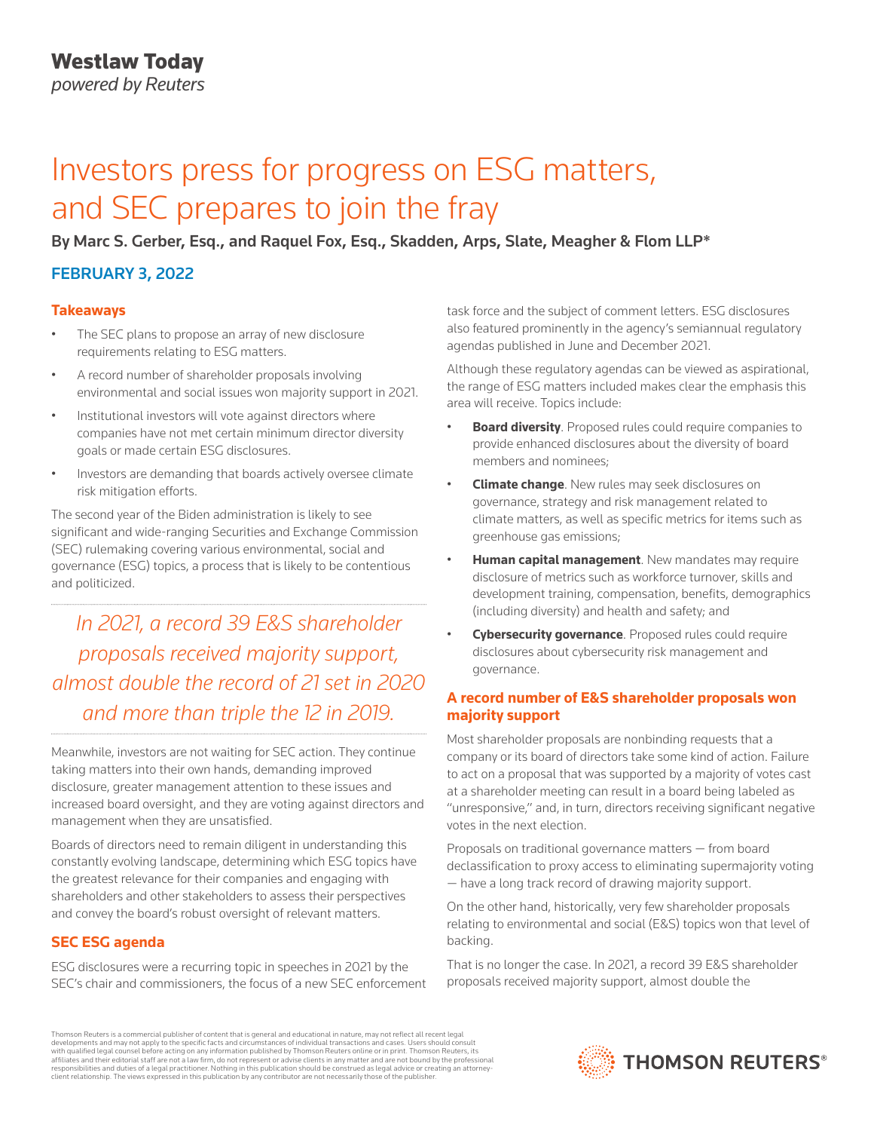*powered by Reuters*

# Investors press for progress on ESG matters, and SEC prepares to join the fray

By Marc S. Gerber, Esq., and Raquel Fox, Esq., Skadden, Arps, Slate, Meagher & Flom LLP\*

### FEBRUARY 3, 2022

### **Takeaways**

- The SEC plans to propose an array of new disclosure requirements relating to ESG matters.
- A record number of shareholder proposals involving environmental and social issues won majority support in 2021.
- Institutional investors will vote against directors where companies have not met certain minimum director diversity goals or made certain ESG disclosures.
- Investors are demanding that boards actively oversee climate risk mitigation efforts.

The second year of the Biden administration is likely to see significant and wide-ranging Securities and Exchange Commission (SEC) rulemaking covering various environmental, social and governance (ESG) topics, a process that is likely to be contentious and politicized.

*In 2021, a record 39 E&S shareholder proposals received majority support, almost double the record of 21 set in 2020 and more than triple the 12 in 2019.*

Meanwhile, investors are not waiting for SEC action. They continue taking matters into their own hands, demanding improved disclosure, greater management attention to these issues and increased board oversight, and they are voting against directors and management when they are unsatisfied.

Boards of directors need to remain diligent in understanding this constantly evolving landscape, determining which ESG topics have the greatest relevance for their companies and engaging with shareholders and other stakeholders to assess their perspectives and convey the board's robust oversight of relevant matters.

### **SEC ESG agenda**

ESG disclosures were a recurring topic in speeches in 2021 by the SEC's chair and commissioners, the focus of a new SEC enforcement task force and the subject of comment letters. ESG disclosures also featured prominently in the agency's semiannual regulatory agendas published in June and December 2021.

Although these regulatory agendas can be viewed as aspirational, the range of ESG matters included makes clear the emphasis this area will receive. Topics include:

- **Board diversity**. Proposed rules could require companies to provide enhanced disclosures about the diversity of board members and nominees;
- **Climate change**. New rules may seek disclosures on governance, strategy and risk management related to climate matters, as well as specific metrics for items such as greenhouse gas emissions;
- **Human capital management**. New mandates may require disclosure of metrics such as workforce turnover, skills and development training, compensation, benefits, demographics (including diversity) and health and safety; and
- **Cybersecurity governance**. Proposed rules could require disclosures about cybersecurity risk management and governance.

### **A record number of E&S shareholder proposals won majority support**

Most shareholder proposals are nonbinding requests that a company or its board of directors take some kind of action. Failure to act on a proposal that was supported by a majority of votes cast at a shareholder meeting can result in a board being labeled as "unresponsive," and, in turn, directors receiving significant negative votes in the next election.

Proposals on traditional governance matters — from board declassification to proxy access to eliminating supermajority voting — have a long track record of drawing majority support.

On the other hand, historically, very few shareholder proposals relating to environmental and social (E&S) topics won that level of backing.

That is no longer the case. In 2021, a record 39 E&S shareholder proposals received majority support, almost double the

Thomson Reuters is a commercial publisher of content that is general and educational in nature, may not reflect all recent legal developments and may not apply to the specific facts and circumstances of individual transactions and cases. Users should consult<br>with qualified legal counsel before acting on any information published by Thomson Reuters o responsibilities and duties of a legal practitioner. Nothing in this publication should be construed as legal advice or creating an attorneyclient relationship. The views expressed in this publication by any contributor are not necessarily those of the publisher.

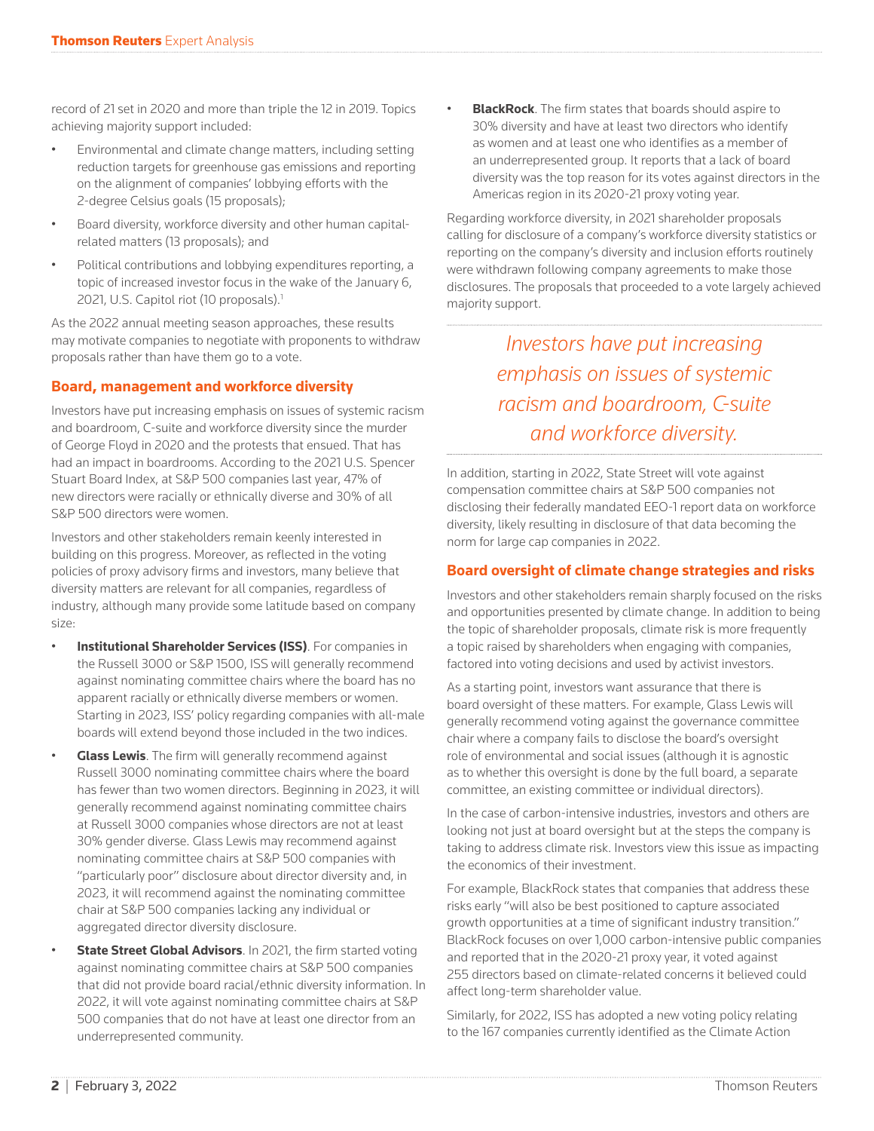record of 21 set in 2020 and more than triple the 12 in 2019. Topics achieving majority support included:

- Environmental and climate change matters, including setting reduction targets for greenhouse gas emissions and reporting on the alignment of companies' lobbying efforts with the 2-degree Celsius goals (15 proposals);
- Board diversity, workforce diversity and other human capitalrelated matters (13 proposals); and
- Political contributions and lobbying expenditures reporting, a topic of increased investor focus in the wake of the January 6, 2021, U.S. Capitol riot (10 proposals).<sup>1</sup>

As the 2022 annual meeting season approaches, these results may motivate companies to negotiate with proponents to withdraw proposals rather than have them go to a vote.

### **Board, management and workforce diversity**

Investors have put increasing emphasis on issues of systemic racism and boardroom, C-suite and workforce diversity since the murder of George Floyd in 2020 and the protests that ensued. That has had an impact in boardrooms. According to the 2021 U.S. Spencer Stuart Board Index, at S&P 500 companies last year, 47% of new directors were racially or ethnically diverse and 30% of all S&P 500 directors were women.

Investors and other stakeholders remain keenly interested in building on this progress. Moreover, as reflected in the voting policies of proxy advisory firms and investors, many believe that diversity matters are relevant for all companies, regardless of industry, although many provide some latitude based on company size:

- **Institutional Shareholder Services (ISS)**. For companies in the Russell 3000 or S&P 1500, ISS will generally recommend against nominating committee chairs where the board has no apparent racially or ethnically diverse members or women. Starting in 2023, ISS' policy regarding companies with all-male boards will extend beyond those included in the two indices.
- **Glass Lewis**. The firm will generally recommend against Russell 3000 nominating committee chairs where the board has fewer than two women directors. Beginning in 2023, it will generally recommend against nominating committee chairs at Russell 3000 companies whose directors are not at least 30% gender diverse. Glass Lewis may recommend against nominating committee chairs at S&P 500 companies with "particularly poor" disclosure about director diversity and, in 2023, it will recommend against the nominating committee chair at S&P 500 companies lacking any individual or aggregated director diversity disclosure.
- **State Street Global Advisors**. In 2021, the firm started voting against nominating committee chairs at S&P 500 companies that did not provide board racial/ethnic diversity information. In 2022, it will vote against nominating committee chairs at S&P 500 companies that do not have at least one director from an underrepresented community.

**BlackRock**. The firm states that boards should aspire to 30% diversity and have at least two directors who identify as women and at least one who identifies as a member of an underrepresented group. It reports that a lack of board diversity was the top reason for its votes against directors in the Americas region in its 2020-21 proxy voting year.

Regarding workforce diversity, in 2021 shareholder proposals calling for disclosure of a company's workforce diversity statistics or reporting on the company's diversity and inclusion efforts routinely were withdrawn following company agreements to make those disclosures. The proposals that proceeded to a vote largely achieved majority support.

## *Investors have put increasing emphasis on issues of systemic racism and boardroom, C-suite and workforce diversity.*

In addition, starting in 2022, State Street will vote against compensation committee chairs at S&P 500 companies not disclosing their federally mandated EEO-1 report data on workforce diversity, likely resulting in disclosure of that data becoming the norm for large cap companies in 2022.

### **Board oversight of climate change strategies and risks**

Investors and other stakeholders remain sharply focused on the risks and opportunities presented by climate change. In addition to being the topic of shareholder proposals, climate risk is more frequently a topic raised by shareholders when engaging with companies, factored into voting decisions and used by activist investors.

As a starting point, investors want assurance that there is board oversight of these matters. For example, Glass Lewis will generally recommend voting against the governance committee chair where a company fails to disclose the board's oversight role of environmental and social issues (although it is agnostic as to whether this oversight is done by the full board, a separate committee, an existing committee or individual directors).

In the case of carbon-intensive industries, investors and others are looking not just at board oversight but at the steps the company is taking to address climate risk. Investors view this issue as impacting the economics of their investment.

For example, BlackRock states that companies that address these risks early "will also be best positioned to capture associated growth opportunities at a time of significant industry transition." BlackRock focuses on over 1,000 carbon-intensive public companies and reported that in the 2020-21 proxy year, it voted against 255 directors based on climate-related concerns it believed could affect long-term shareholder value.

Similarly, for 2022, ISS has adopted a new voting policy relating to the 167 companies currently identified as the Climate Action